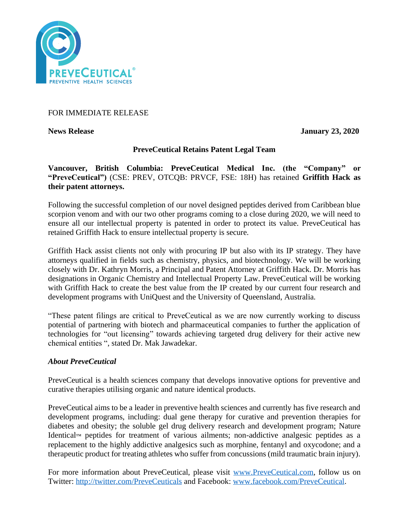

# FOR IMMEDIATE RELEASE

**News Release January 23, 2020**

### **PreveCeutical Retains Patent Legal Team**

**Vancouver, British Columbia: PreveCeutical Medical Inc. (the "Company" or "PreveCeutical")** (CSE: PREV, OTCQB: PRVCF, FSE: 18H) has retained **Griffith Hack as their patent attorneys.**

Following the successful completion of our novel designed peptides derived from Caribbean blue scorpion venom and with our two other programs coming to a close during 2020, we will need to ensure all our intellectual property is patented in order to protect its value. PreveCeutical has retained Griffith Hack to ensure intellectual property is secure.

Griffith Hack assist clients not only with procuring IP but also with its IP strategy. They have attorneys qualified in fields such as chemistry, physics, and biotechnology. We will be working closely with Dr. Kathryn Morris, a Principal and Patent Attorney at Griffith Hack. Dr. Morris has designations in Organic Chemistry and Intellectual Property Law. PreveCeutical will be working with Griffith Hack to create the best value from the IP created by our current four research and development programs with UniQuest and the University of Queensland, Australia.

"These patent filings are critical to PreveCeutical as we are now currently working to discuss potential of partnering with biotech and pharmaceutical companies to further the application of technologies for "out licensing" towards achieving targeted drug delivery for their active new chemical entities ", stated Dr. Mak Jawadekar.

### *About PreveCeutical*

PreveCeutical is a health sciences company that develops innovative options for preventive and curative therapies utilising organic and nature identical products.

PreveCeutical aims to be a leader in preventive health sciences and currently has five research and development programs, including: dual gene therapy for curative and prevention therapies for diabetes and obesity; the soluble gel drug delivery research and development program; Nature Identical™ peptides for treatment of various ailments; non-addictive analgesic peptides as a replacement to the highly addictive analgesics such as morphine, fentanyl and oxycodone; and a therapeutic product for treating athletes who suffer from concussions (mild traumatic brain injury).

For more information about PreveCeutical, please visit [www.PreveCeutical.com,](http://www.preveceutical.com/) follow us on Twitter:<http://twitter.com/PreveCeuticals> and Facebook: [www.facebook.com/PreveCeutical.](http://www.facebook.com/PreveCeutical)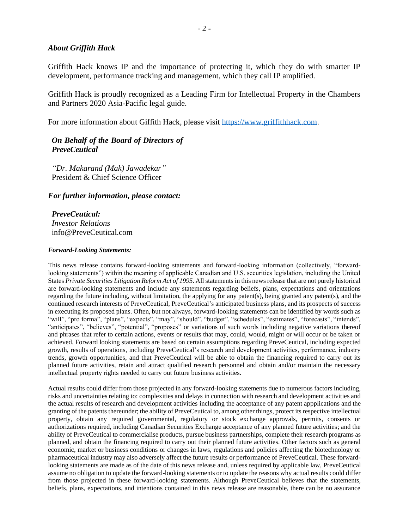### *About Griffith Hack*

Griffith Hack knows IP and the importance of protecting it, which they do with smarter IP development, performance tracking and management, which they call IP amplified.

Griffith Hack is proudly recognized as a Leading Firm for Intellectual Property in the Chambers and Partners 2020 Asia-Pacific legal guide.

For more information about Giffith Hack, please visit [https://www.griffithhack.com.](https://www.griffithhack.com/)

# *On Behalf of the Board of Directors of PreveCeutical*

*"Dr. Makarand (Mak) Jawadekar"* President & Chief Science Officer

#### *For further information, please contact:*

*PreveCeutical: Investor Relations* info@PreveCeutical.com

#### *Forward-Looking Statements:*

This news release contains forward-looking statements and forward-looking information (collectively, "forwardlooking statements") within the meaning of applicable Canadian and U.S. securities legislation, including the United States *Private Securities Litigation Reform Act of 1995*. All statements in this news release that are not purely historical are forward-looking statements and include any statements regarding beliefs, plans, expectations and orientations regarding the future including, without limitation, the applying for any patent(s), being granted any patent(s), and the continued research interests of PreveCeutical, PreveCeutical's anticipated business plans, and its prospects of success in executing its proposed plans. Often, but not always, forward-looking statements can be identified by words such as "will", "pro forma", "plans", "expects", "may", "should", "budget", "schedules", "estimates", "forecasts", "intends", "anticipates", "believes", "potential", "proposes" or variations of such words including negative variations thereof and phrases that refer to certain actions, events or results that may, could, would, might or will occur or be taken or achieved. Forward looking statements are based on certain assumptions regarding PreveCeutical, including expected growth, results of operations, including PreveCeutical's research and development activities, performance, industry trends, growth opportunities, and that PreveCeutical will be able to obtain the financing required to carry out its planned future activities, retain and attract qualified research personnel and obtain and/or maintain the necessary intellectual property rights needed to carry out future business activities.

Actual results could differ from those projected in any forward-looking statements due to numerous factors including, risks and uncertainties relating to: complexities and delays in connection with research and development activities and the actual results of research and development activities including the acceptance of any patent appplications and the granting of the patents thereunder; the ability of PreveCeutical to, among other things, protect its respective intellectual property, obtain any required governmental, regulatory or stock exchange approvals, permits, consents or authorizations required, including Canadian Securities Exchange acceptance of any planned future activities; and the ability of PreveCeutical to commercialise products, pursue business partnerships, complete their research programs as planned, and obtain the financing required to carry out their planned future activities. Other factors such as general economic, market or business conditions or changes in laws, regulations and policies affecting the biotechnology or pharmaceutical industry may also adversely affect the future results or performance of PreveCeutical. These forwardlooking statements are made as of the date of this news release and, unless required by applicable law, PreveCeutical assume no obligation to update the forward-looking statements or to update the reasons why actual results could differ from those projected in these forward-looking statements. Although PreveCeutical believes that the statements, beliefs, plans, expectations, and intentions contained in this news release are reasonable, there can be no assurance